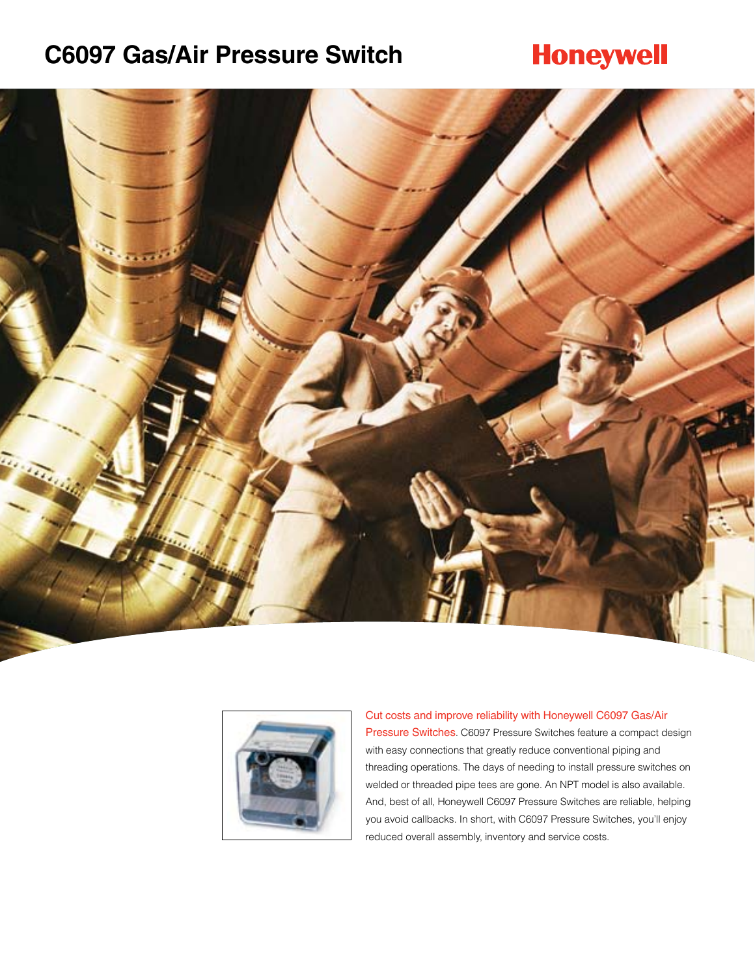### **C6097 Gas/Air Pressure Switch**

### **Honeywell**





#### Cut costs and improve reliability with Honeywell C6097 Gas/Air Pressure Switches. C6097 Pressure Switches feature a compact design with easy connections that greatly reduce conventional piping and threading operations. The days of needing to install pressure switches on welded or threaded pipe tees are gone. An NPT model is also available. And, best of all, Honeywell C6097 Pressure Switches are reliable, helping you avoid callbacks. In short, with C6097 Pressure Switches, you'll enjoy reduced overall assembly, inventory and service costs.